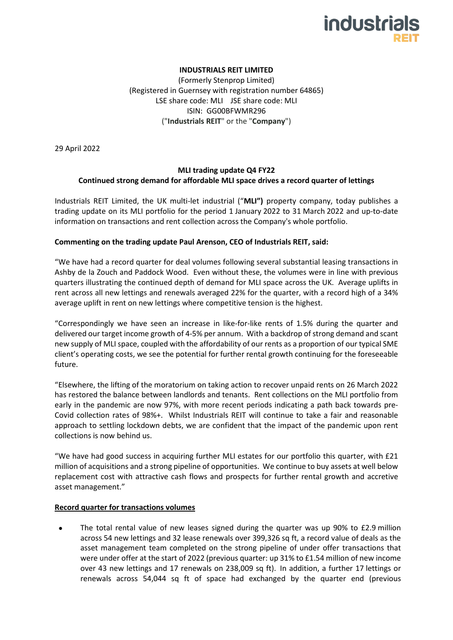

## **INDUSTRIALS REIT LIMITED**

(Formerly Stenprop Limited) (Registered in Guernsey with registration number 64865) LSE share code: MLI JSE share code: MLI ISIN: GG00BFWMR296 ("**Industrials REIT**" or the "**Company**")

29 April 2022

# **MLI trading update Q4 FY22 Continued strong demand for affordable MLI space drives a record quarter of lettings**

Industrials REIT Limited, the UK multi-let industrial ("**MLI")** property company, today publishes a trading update on its MLI portfolio for the period 1 January 2022 to 31 March 2022 and up-to-date information on transactions and rent collection across the Company's whole portfolio.

## **Commenting on the trading update Paul Arenson, CEO of Industrials REIT, said:**

"We have had a record quarter for deal volumes following several substantial leasing transactions in Ashby de la Zouch and Paddock Wood. Even without these, the volumes were in line with previous quarters illustrating the continued depth of demand for MLI space across the UK. Average uplifts in rent across all new lettings and renewals averaged 22% for the quarter, with a record high of a 34% average uplift in rent on new lettings where competitive tension is the highest.

"Correspondingly we have seen an increase in like-for-like rents of 1.5% during the quarter and delivered our target income growth of 4-5% per annum. With a backdrop of strong demand and scant new supply of MLI space, coupled with the affordability of our rents as a proportion of our typical SME client's operating costs, we see the potential for further rental growth continuing for the foreseeable future.

"Elsewhere, the lifting of the moratorium on taking action to recover unpaid rents on 26 March 2022 has restored the balance between landlords and tenants. Rent collections on the MLI portfolio from early in the pandemic are now 97%, with more recent periods indicating a path back towards pre-Covid collection rates of 98%+. Whilst Industrials REIT will continue to take a fair and reasonable approach to settling lockdown debts, we are confident that the impact of the pandemic upon rent collections is now behind us.

"We have had good success in acquiring further MLI estates for our portfolio this quarter, with £21 million of acquisitions and a strong pipeline of opportunities. We continue to buy assets at well below replacement cost with attractive cash flows and prospects for further rental growth and accretive asset management."

#### **Record quarter for transactions volumes**

The total rental value of new leases signed during the quarter was up 90% to £2.9 million across 54 new lettings and 32 lease renewals over 399,326 sq ft, a record value of deals as the asset management team completed on the strong pipeline of under offer transactions that were under offer at the start of 2022 (previous quarter: up 31% to £1.54 million of new income over 43 new lettings and 17 renewals on 238,009 sq ft). In addition, a further 17 lettings or renewals across 54,044 sq ft of space had exchanged by the quarter end (previous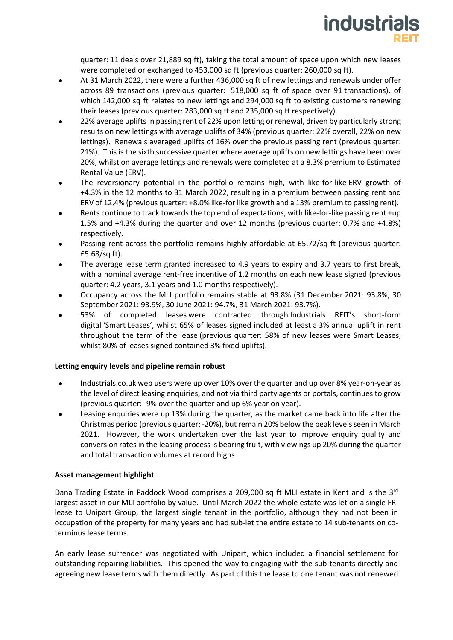

quarter: 11 deals over 21,889 sq ft), taking the total amount of space upon which new leases were completed or exchanged to 453,000 sq ft (previous quarter: 260,000 sq ft).

- At 31 March 2022, there were a further 436,000 sq ft of new lettings and renewals under offer across 89 transactions (previous quarter: 518,000 sq ft of space over 91 transactions), of which 142,000 sq ft relates to new lettings and 294,000 sq ft to existing customers renewing their leases (previous quarter: 283,000 sq ft and 235,000 sq ft respectively).
- 22% average uplifts in passing rent of 22% upon letting or renewal, driven by particularly strong results on new lettings with average uplifts of 34% (previous quarter: 22% overall, 22% on new lettings). Renewals averaged uplifts of 16% over the previous passing rent (previous quarter: 21%). This is the sixth successive quarter where average uplifts on new lettings have been over 20%, whilst on average lettings and renewals were completed at a 8.3% premium to Estimated Rental Value (ERV).
- The reversionary potential in the portfolio remains high, with like-for-like ERV growth of +4.3% in the 12 months to 31 March 2022, resulting in a premium between passing rent and ERV of 12.4% (previous quarter: +8.0% like-for like growth and a 13% premium to passing rent).
- Rents continue to track towards the top end of expectations, with like-for-like passing rent +up 1.5% and +4.3% during the quarter and over 12 months (previous quarter: 0.7% and +4.8%) respectively.
- Passing rent across the portfolio remains highly affordable at £5.72/sq ft (previous quarter: £5.68/sq ft).
- The average lease term granted increased to 4.9 years to expiry and 3.7 years to first break, with a nominal average rent-free incentive of 1.2 months on each new lease signed (previous quarter: 4.2 years, 3.1 years and 1.0 months respectively).
- Occupancy across the MLI portfolio remains stable at 93.8% (31 December 2021: 93.8%, 30 September 2021: 93.9%, 30 June 2021: 94.7%, 31 March 2021: 93.7%).
- 53% of completed leases were contracted through Industrials REIT's short-form digital 'Smart Leases', whilst 65% of leases signed included at least a 3% annual uplift in rent throughout the term of the lease (previous quarter: 58% of new leases were Smart Leases, whilst 80% of leases signed contained 3% fixed uplifts).

## **Letting enquiry levels and pipeline remain robust**

- Industrials.co.uk web users were up over 10% over the quarter and up over 8% year-on-year as the level of direct leasing enquiries, and not via third party agents or portals, continues to grow (previous quarter: -9% over the quarter and up 6% year on year).
- Leasing enquiries were up 13% during the quarter, as the market came back into life after the Christmas period (previous quarter: -20%), but remain 20% below the peak levels seen in March 2021. However, the work undertaken over the last year to improve enquiry quality and conversion rates in the leasing process is bearing fruit, with viewings up 20% during the quarter and total transaction volumes at record highs.

## **Asset management highlight**

Dana Trading Estate in Paddock Wood comprises a 209,000 sq ft MLI estate in Kent and is the 3<sup>rd</sup> largest asset in our MLI portfolio by value. Until March 2022 the whole estate was let on a single FRI lease to Unipart Group, the largest single tenant in the portfolio, although they had not been in occupation of the property for many years and had sub-let the entire estate to 14 sub-tenants on coterminus lease terms.

An early lease surrender was negotiated with Unipart, which included a financial settlement for outstanding repairing liabilities. This opened the way to engaging with the sub-tenants directly and agreeing new lease terms with them directly. As part of this the lease to one tenant was not renewed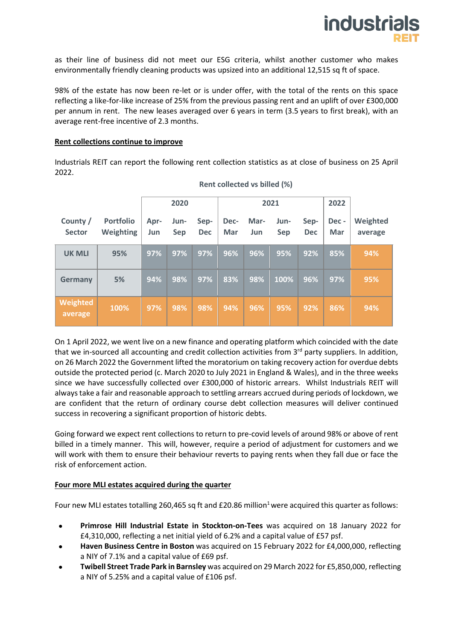

as their line of business did not meet our ESG criteria, whilst another customer who makes environmentally friendly cleaning products was upsized into an additional 12,515 sq ft of space.

98% of the estate has now been re-let or is under offer, with the total of the rents on this space reflecting a like-for-like increase of 25% from the previous passing rent and an uplift of over £300,000 per annum in rent. The new leases averaged over 6 years in term (3.5 years to first break), with an average rent-free incentive of 2.3 months.

### **Rent collections continue to improve**

Industrials REIT can report the following rent collection statistics as at close of business on 25 April 2022.

|                           |                                      | 2020        |             |                    | 2021        |             |                    |                    | 2022        |                     |
|---------------------------|--------------------------------------|-------------|-------------|--------------------|-------------|-------------|--------------------|--------------------|-------------|---------------------|
| County /<br><b>Sector</b> | <b>Portfolio</b><br><b>Weighting</b> | Apr-<br>Jun | Jun-<br>Sep | Sep-<br><b>Dec</b> | Dec-<br>Mar | Mar-<br>Jun | Jun-<br><b>Sep</b> | Sep-<br><b>Dec</b> | Dec-<br>Mar | Weighted<br>average |
| <b>UK MLI</b>             | 95%                                  | 97%         | 97%         | 97%                | 96%         | 96%         | 95%                | 92%                | 85%         | 94%                 |
| <b>Germany</b>            | 5%                                   | 94%         | 98%         | 97%                | 83%         | 98%         | 100%               | 96%                | 97%         | 95%                 |
| Weighted<br>average       | 100%                                 | 97%         | 98%         | 98%                | 94%         | 96%         | 95%                | 92%                | 86%         | 94%                 |

**Rent collected vs billed (%)**

On 1 April 2022, we went live on a new finance and operating platform which coincided with the date that we in-sourced all accounting and credit collection activities from 3<sup>rd</sup> party suppliers. In addition, on 26 March 2022 the Government lifted the moratorium on taking recovery action for overdue debts outside the protected period (c. March 2020 to July 2021 in England & Wales), and in the three weeks since we have successfully collected over £300,000 of historic arrears. Whilst Industrials REIT will always take a fair and reasonable approach to settling arrears accrued during periods of lockdown, we are confident that the return of ordinary course debt collection measures will deliver continued success in recovering a significant proportion of historic debts.

Going forward we expect rent collections to return to pre-covid levels of around 98% or above of rent billed in a timely manner. This will, however, require a period of adjustment for customers and we will work with them to ensure their behaviour reverts to paying rents when they fall due or face the risk of enforcement action.

## **Four more MLI estates acquired during the quarter**

Four new MLI estates totalling 260,465 sq ft and £20.86 million<sup>1</sup> were acquired this quarter as follows:

- **Primrose Hill Industrial Estate in Stockton-on-Tees** was acquired on 18 January 2022 for £4,310,000, reflecting a net initial yield of 6.2% and a capital value of £57 psf.
- **Haven Business Centre in Boston** was acquired on 15 February 2022 for £4,000,000, reflecting a NIY of 7.1% and a capital value of £69 psf.
- **Twibell Street Trade Park in Barnsley** was acquired on 29 March 2022 for £5,850,000, reflecting a NIY of 5.25% and a capital value of £106 psf.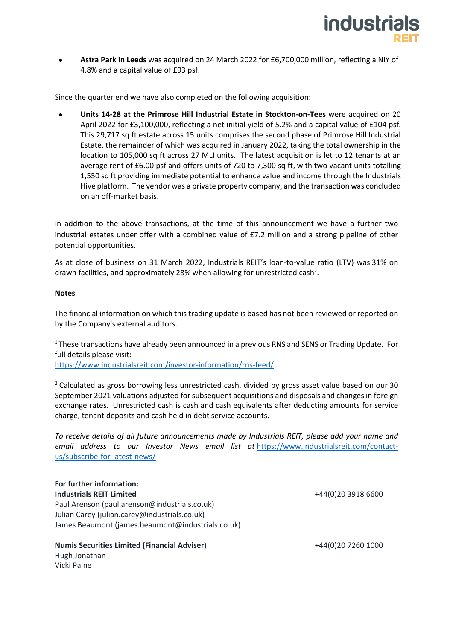

• **Astra Park in Leeds** was acquired on 24 March 2022 for £6,700,000 million, reflecting a NIY of 4.8% and a capital value of £93 psf.

Since the quarter end we have also completed on the following acquisition:

• **Units 14-28 at the Primrose Hill Industrial Estate in Stockton-on-Tees** were acquired on 20 April 2022 for £3,100,000, reflecting a net initial yield of 5.2% and a capital value of £104 psf. This 29,717 sq ft estate across 15 units comprises the second phase of Primrose Hill Industrial Estate, the remainder of which was acquired in January 2022, taking the total ownership in the location to 105,000 sq ft across 27 MLI units. The latest acquisition is let to 12 tenants at an average rent of £6.00 psf and offers units of 720 to 7,300 sq ft, with two vacant units totalling 1,550 sq ft providing immediate potential to enhance value and income through the Industrials Hive platform. The vendor was a private property company, and the transaction was concluded on an off-market basis.

In addition to the above transactions, at the time of this announcement we have a further two industrial estates under offer with a combined value of £7.2 million and a strong pipeline of other potential opportunities.

As at close of business on 31 March 2022, Industrials REIT's loan-to-value ratio (LTV) was 31% on drawn facilities, and approximately 28% when allowing for unrestricted cash<sup>2</sup>.

### **Notes**

The financial information on which this trading update is based has not been reviewed or reported on by the Company's external auditors.

<sup>1</sup> These transactions have already been announced in a previous RNS and SENS or Trading Update. For full details please visit:

<https://www.industrialsreit.com/investor-information/rns-feed/>

<sup>2</sup> Calculated as gross borrowing less unrestricted cash, divided by gross asset value based on our 30 September 2021 valuations adjusted for subsequent acquisitions and disposals and changes in foreign exchange rates. Unrestricted cash is cash and cash equivalents after deducting amounts for service charge, tenant deposits and cash held in debt service accounts.

*To receive details of all future announcements made by Industrials REIT, please add your name and email address to our Investor News email list at* [https://www.industrialsreit.com/contact](https://www.industrialsreit.com/contact-us/subscribe-for-latest-news/)[us/subscribe-for-latest-news/](https://www.industrialsreit.com/contact-us/subscribe-for-latest-news/)

#### **For further information: Industrials REIT Limited**

Paul Arenson (paul.arenson@industrials.co.uk) Julian Carey (julian.carey@industrials.co.uk) James Beaumont (james.beaumont@industrials.co.uk) +44(0)20 3918 6600

**Numis Securities Limited (Financial Adviser)**

+44(0)20 7260 1000

Hugh Jonathan Vicki Paine